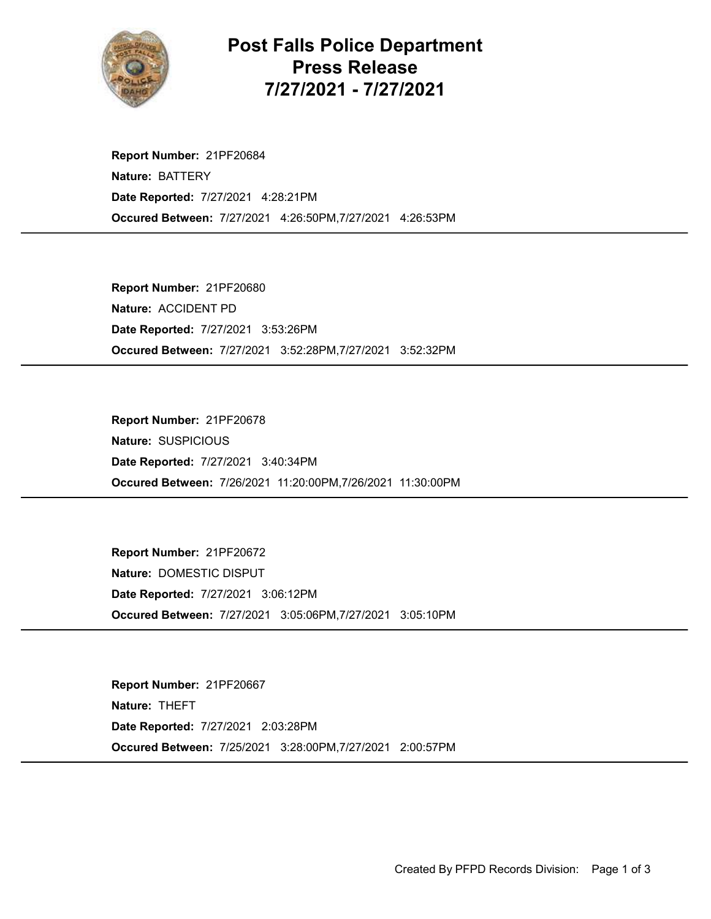

Post Falls Police Department Press Release 7/27/2021 - 7/27/2021

Occured Between: 7/27/2021 4:26:50PM,7/27/2021 4:26:53PM Report Number: 21PF20684 Nature: BATTERY Date Reported: 7/27/2021 4:28:21PM

Occured Between: 7/27/2021 3:52:28PM,7/27/2021 3:52:32PM Report Number: 21PF20680 Nature: ACCIDENT PD Date Reported: 7/27/2021 3:53:26PM

Occured Between: 7/26/2021 11:20:00PM,7/26/2021 11:30:00PM Report Number: 21PF20678 Nature: SUSPICIOUS Date Reported: 7/27/2021 3:40:34PM

Occured Between: 7/27/2021 3:05:06PM,7/27/2021 3:05:10PM Report Number: 21PF20672 Nature: DOMESTIC DISPUT Date Reported: 7/27/2021 3:06:12PM

Occured Between: 7/25/2021 3:28:00PM,7/27/2021 2:00:57PM Report Number: 21PF20667 Nature: THEFT Date Reported: 7/27/2021 2:03:28PM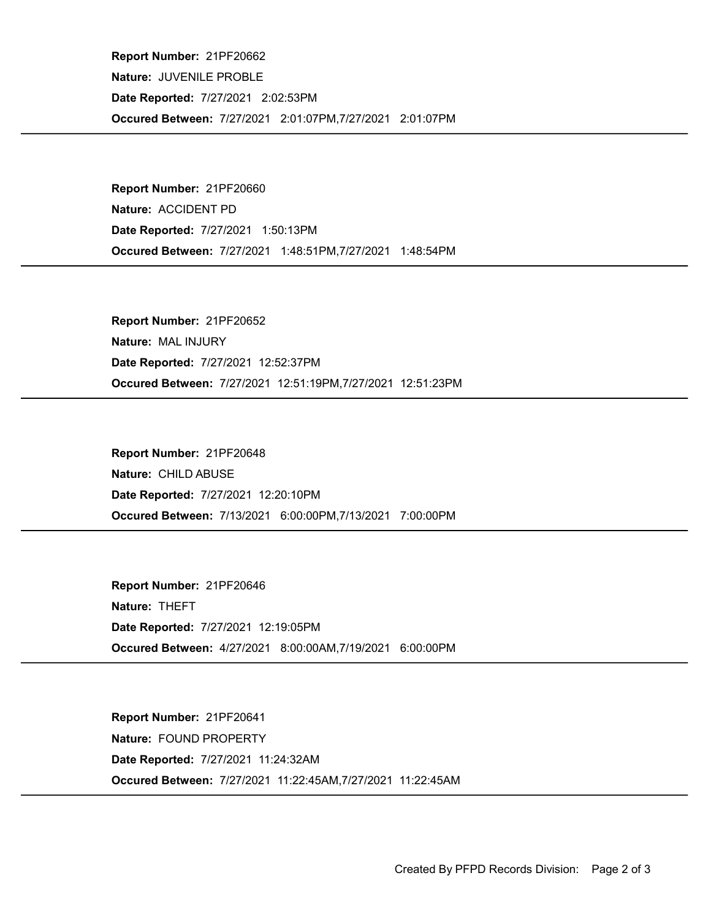Occured Between: 7/27/2021 2:01:07PM,7/27/2021 2:01:07PM Report Number: 21PF20662 Nature: JUVENILE PROBLE Date Reported: 7/27/2021 2:02:53PM

Occured Between: 7/27/2021 1:48:51PM,7/27/2021 1:48:54PM Report Number: 21PF20660 Nature: ACCIDENT PD Date Reported: 7/27/2021 1:50:13PM

Occured Between: 7/27/2021 12:51:19PM,7/27/2021 12:51:23PM Report Number: 21PF20652 Nature: MAL INJURY Date Reported: 7/27/2021 12:52:37PM

Occured Between: 7/13/2021 6:00:00PM,7/13/2021 7:00:00PM Report Number: 21PF20648 Nature: CHILD ABUSE Date Reported: 7/27/2021 12:20:10PM

Occured Between: 4/27/2021 8:00:00AM,7/19/2021 6:00:00PM Report Number: 21PF20646 Nature: THEFT Date Reported: 7/27/2021 12:19:05PM

Occured Between: 7/27/2021 11:22:45AM,7/27/2021 11:22:45AM Report Number: 21PF20641 Nature: FOUND PROPERTY Date Reported: 7/27/2021 11:24:32AM